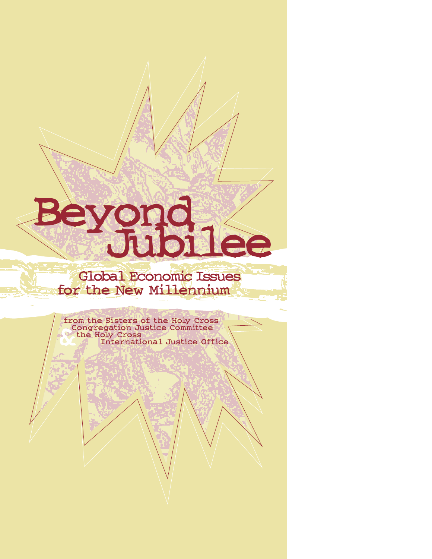# **Beyond**

# **Global Economic Issues for the New Millennium**

**& from the Sisters of the Holy Cross Congregation Justice Committee the Holy Cross International Justice Office**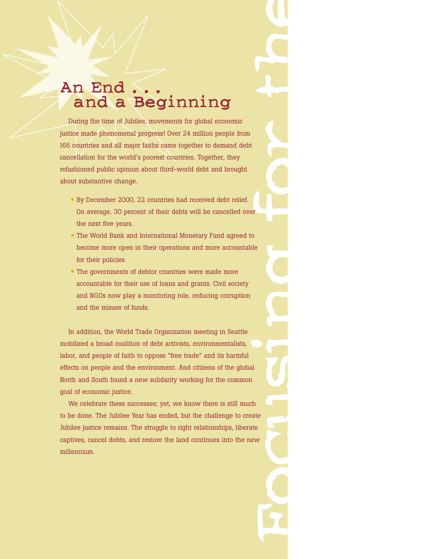# **An End . . . and a Beginning**

During the time of Jubilee, movements for global economic justice made phenomenal progress! Over 24 million people from 166 countries and all major faiths came together to demand debt cancellation for the world's poorest countries. Together, they refashioned public opinion about third-world debt and brought about substantive change.

- By December 2000, 22 countries had received debt relief. On average, 30 percent of their debts will be cancelled over the next five years.
- $*$  The World Bank and International Monetary Fund agreed to become more open in their operations and more accountable for their policies.
- $*$  The governments of debtor countries were made more accountable for their use of loans and grants. Civil society and NGOs now play a monitoring role, reducing corruption and the misuse of funds.

In addition, the World Trade Organization meeting in Seattle mobilized a broad coalition of debt activists, environmentalists, labor, and people of faith to oppose "free trade" and its harmful effects on people and the environment. And citizens of the global North and South found a new solidarity working for the common goal of economic justice.

**Focus in the contract of the contract of the contract of the contract of the contract of the contract of the contract of the contract of the contract of the contract of the contract of the contract of the contract of the** We celebrate these successes; yet, we know there is still much to be done. The Jubilee Year has ended, but the challenge to create Jubilee justice remains. The struggle to right relationships, liberate captives, cancel debts, and restore the land continues into the new millennium.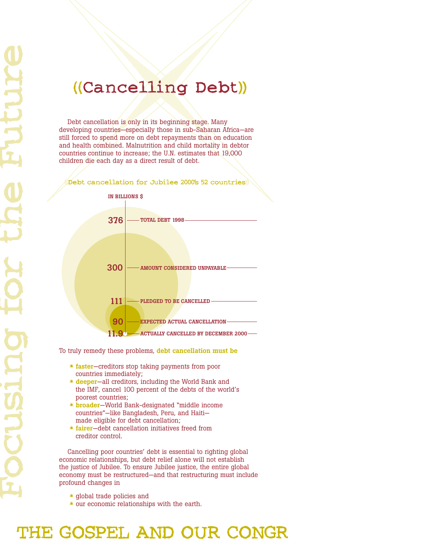# **((Cancelling Debt))**

Debt cancellation is only in its beginning stage. Many developing countries—especially those in sub-Saharan Africa—are still forced to spend more on debt repayments than on education and health combined. Malnutrition and child mortality in debtor countries continue to increase; the U.N. estimates that 19,000 children die each day as a direct result of debt.

**((Debt cancellation for Jubilee 2000's 52 countries))**



To truly remedy these problems, **debt cancellation must be**

- **faster**—creditors stop taking payments from poor countries immediately;
- **deeper**—all creditors, including the World Bank and the IMF, cancel 100 percent of the debts of the world's poorest countries;
- **broader**—World Bank-designated "middle income countries"—like Bangladesh, Peru, and Haiti made eligible for debt cancellation;
- **fairer**—debt cancellation initiatives freed from creditor control.

Cancelling poor countries' debt is essential to righting global economic relationships, but debt relief alone will not establish the justice of Jubilee. To ensure Jubilee justice, the entire global economy must be restructured—and that restructuring must include profound changes in

- global trade policies and
- $*$  our economic relationships with the earth.

**THE GOSPEL AND OUR CONGR**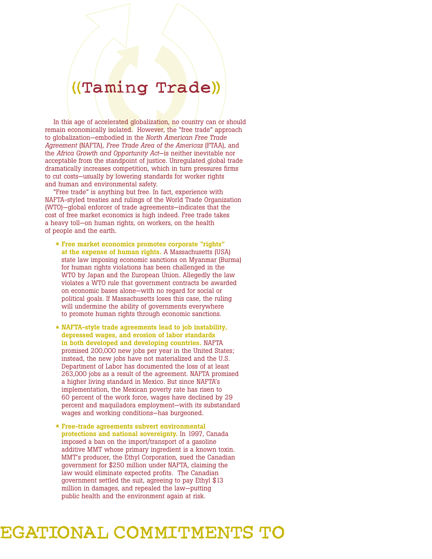# **((Taming Trade))**

In this age of accelerated globalization, no country can or should remain economically isolated. However, the "free trade" approach to globalization—embodied in the *North American Free Trade Agreement* (NAFTA), *Free Trade Area of the Americas* (FTAA), and the *Africa Growth and Opportunity Act*—is neither inevitable nor acceptable from the standpoint of justice. Unregulated global trade dramatically increases competition, which in turn pressures firms to cut costs—usually by lowering standards for worker rights and human and environmental safety.

"Free trade" is anything but free. In fact, experience with NAFTA-styled treaties and rulings of the World Trade Organization (WTO)—global enforcer of trade agreements—indicates that the cost of free market economics is high indeed. Free trade takes a heavy toll—on human rights, on workers, on the health of people and the earth.

- **Free market economics promotes corporate "rights" at the expense of human rights.** A Massachusetts (USA) state law imposing economic sanctions on Myanmar (Burma) for human rights violations has been challenged in the WTO by Japan and the European Union. Allegedly the law violates a WTO rule that government contracts be awarded on economic bases alone—with no regard for social or political goals. If Massachusetts loses this case, the ruling will undermine the ability of governments everywhere to promote human rights through economic sanctions.
- **NAFTA-style trade agreements lead to job instability, depressed wages, and erosion of labor standards in both developed and developing countries.** NAFTA promised 200,000 new jobs per year in the United States; instead, the new jobs have not materialized and the U.S. Department of Labor has documented the loss of at least 263,000 jobs as a result of the agreement. NAFTA promised a higher living standard in Mexico. But since NAFTA's implementation, the Mexican poverty rate has risen to 60 percent of the work force, wages have declined by 29 percent and maquiladora employment—with its substandard wages and working conditions—has burgeoned.
- **Free-trade agreements subvert environmental protections and national sovereignty.** In 1997, Canada imposed a ban on the import/transport of a gasoline additive MMT whose primary ingredient is a known toxin. MMT's producer, the Ethyl Corporation, sued the Canadian government for \$250 million under NAFTA, claiming the law would eliminate expected profits. The Canadian government settled the suit, agreeing to pay Ethyl \$13 million in damages, and repealed the law—putting public health and the environment again at risk.

**EGATIONAL COMMITMENTS TO**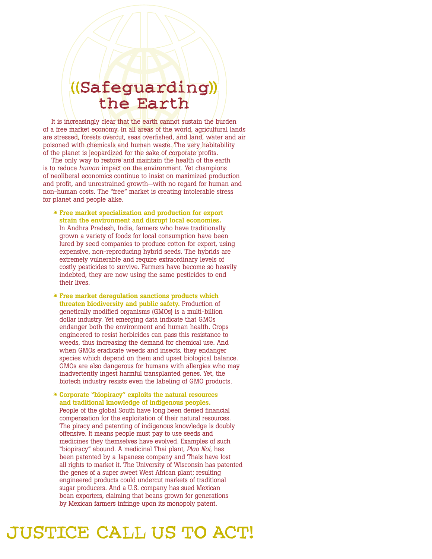# **((Safeguarding)) the Earth**

It is increasingly clear that the earth cannot sustain the burden of a free market economy. In all areas of the world, agricultural lands are stressed, forests overcut, seas overfished, and land, water and air poisoned with chemicals and human waste. The very habitability of the planet is jeopardized for the sake of corporate profits.

The only way to restore and maintain the health of the earth is to reduce *human* impact on the environment. Yet champions of neoliberal economics continue to insist on maximized production and profit, and unrestrained growth—with no regard for human and non-human costs. The "free" market is creating intolerable stress for planet and people alike.

- **Free market specialization and production for export strain the environment and disrupt local economies.** In Andhra Pradesh, India, farmers who have traditionally grown a variety of foods for local consumption have been lured by seed companies to produce cotton for export, using expensive, non-reproducing hybrid seeds. The hybrids are extremely vulnerable and require extraordinary levels of costly pesticides to survive. Farmers have become so heavily indebted, they are now using the same pesticides to end their lives.
- **Free market deregulation sanctions products which threaten biodiversity and public safety.** Production of genetically modified organisms (GMOs) is a multi-billion dollar industry. Yet emerging data indicate that GMOs endanger both the environment and human health. Crops engineered to resist herbicides can pass this resistance to weeds, thus increasing the demand for chemical use. And when GMOs eradicate weeds and insects, they endanger species which depend on them and upset biological balance. GMOs are also dangerous for humans with allergies who may inadvertently ingest harmful transplanted genes. Yet, the biotech industry resists even the labeling of GMO products.
- **Corporate "biopiracy" exploits the natural resources and traditional knowledge of indigenous peoples.** People of the global South have long been denied financial compensation for the exploitation of their natural resources. The piracy and patenting of indigenous knowledge is doubly offensive. It means people must pay to use seeds and medicines they themselves have evolved. Examples of such "biopiracy" abound. A medicinal Thai plant, *Plao Noi*, has been patented by a Japanese company and Thais have lost all rights to market it. The University of Wisconsin has patented the genes of a super sweet West African plant; resulting engineered products could undercut markets of traditional sugar producers. And a U.S. company has sued Mexican bean exporters, claiming that beans grown for generations by Mexican farmers infringe upon its monopoly patent.

**JUSTICE CALL US TO ACT!**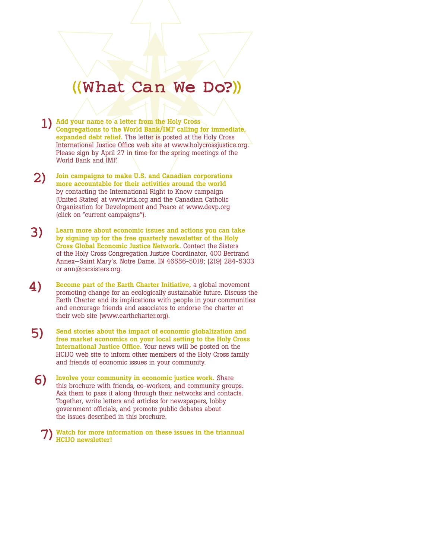# **((What Can We Do?))**

- **1) Add your name to a letter from the Holy Cross Congregations to the World Bank/IMF calling for immediate, expanded debt relief.** The letter is posted at the Holy Cross International Justice Office web site at www.holycrossjustice.org. Please sign by April 27 in time for the spring meetings of the World Bank and IMF.
- **2) Join campaigns to make U.S. and Canadian corporations more accountable for their activities around the world** by contacting the International Right to Know campaign (United States) at www.irtk.org and the Canadian Catholic Organization for Development and Peace at www.devp.org (click on "current campaigns").
- **3) Learn more about economic issues and actions you can take by signing up for the free quarterly newsletter of the Holy Cross Global Economic Justice Network.** Contact the Sisters of the Holy Cross Congregation Justice Coordinator, 400 Bertrand Annex—Saint Mary's, Notre Dame, IN 46556-5018; (219) 284-5303 or ann@cscsisters.org.
- **4) Become part of the Earth Charter Initiative,** a global movement promoting change for an ecologically sustainable future. Discuss the Earth Charter and its implications with people in your communities and encourage friends and associates to endorse the charter at their web site (www.earthcharter.org).
- **5) Send stories about the impact of economic globalization and free market economics on your local setting to the Holy Cross International Justice Office.** Your news will be posted on the HCIJO web site to inform other members of the Holy Cross family and friends of economic issues in your community.
	- **6) Involve your community in economic justice work.** Share this brochure with friends, co-workers, and community groups. Ask them to pass it along through their networks and contacts. Together, write letters and articles for newspapers, lobby government officials, and promote public debates about the issues described in this brochure.

**7) Watch for more information on these issues in the triannual HCIJO newsletter!**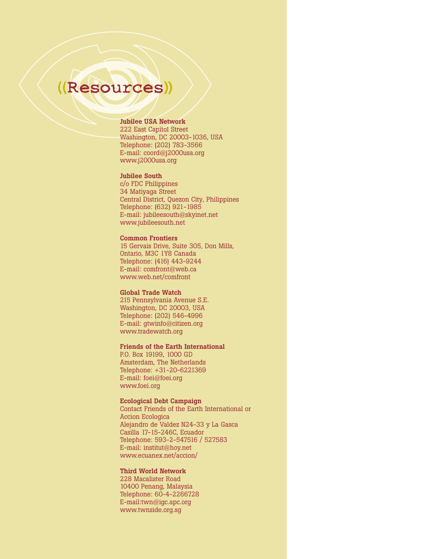# **((Resources))**

### **Jubilee USA Network**

222 East Capitol Street Washington, DC 20003-1036, USA Telephone: (202) 783-3566 E-mail: coord@j2000usa.org www.j2000usa.org

### **Jubilee South**

c/o FDC Philippines 34 Matiyaga Street Central District, Quezon City, Philippines Telephone: (632) 921-1985 E-mail: jubileesouth@skyinet.net www.jubileesouth.net

### **Common Frontiers**

15 Gervais Drive, Suite 305, Don Mills, Ontario, M3C 1Y8 Canada Telephone: (416) 443-9244 E-mail: comfront@web.ca www.web.net/comfront

### **Global Trade Watch**

215 Pennsylvania Avenue S.E. Washington, DC 20003, USA Telephone: (202) 546-4996 E-mail: gtwinfo@citizen.org www.tradewatch.org

### **Friends of the Earth International**

P.O. Box 19199, 1000 GD Amsterdam, The Netherlands Telephone: +31-20-6221369 E-mail: foei@foei.org www.foei.org

### **Ecological Debt Campaign**

Contact Friends of the Earth International or Accion Ecologica Alejandro de Valdez N24-33 y La Gasca Casilla 17-15-246C, Ecuador Telephone: 593-2-547516 / 527583 E-mail: institut@hoy.net www.ecuanex.net/accion/

### **Third World Network**

228 Macalister Road 10400 Penang, Malaysia Telephone: 60-4-2266728 E-mail:twn@igc.apc.org www.twnside.org.sg